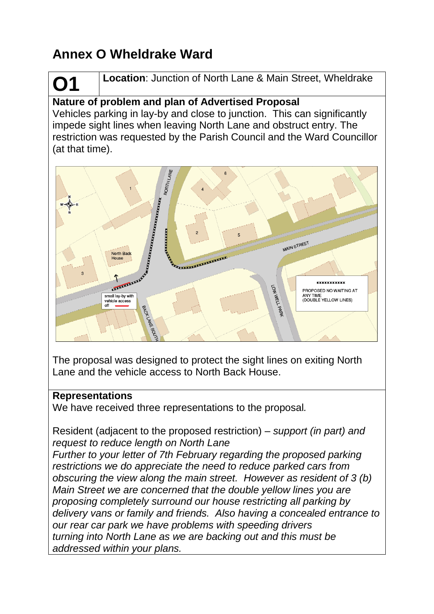# **Annex O Wheldrake Ward**

# **O1 Location**: Junction of North Lane & Main Street, Wheldrake

## **Nature of problem and plan of Advertised Proposal**

Vehicles parking in lay-by and close to junction. This can significantly impede sight lines when leaving North Lane and obstruct entry. The restriction was requested by the Parish Council and the Ward Councillor (at that time).



The proposal was designed to protect the sight lines on exiting North Lane and the vehicle access to North Back House.

#### **Representations**

We have received three representations to the proposal*.* 

Resident (adjacent to the proposed restriction) *– support (in part) and request to reduce length on North Lane*

*Further to your letter of 7th February regarding the proposed parking restrictions we do appreciate the need to reduce parked cars from obscuring the view along the main street. However as resident of 3 (b) Main Street we are concerned that the double yellow lines you are proposing completely surround our house restricting all parking by delivery vans or family and friends. Also having a concealed entrance to our rear car park we have problems with speeding drivers turning into North Lane as we are backing out and this must be addressed within your plans.*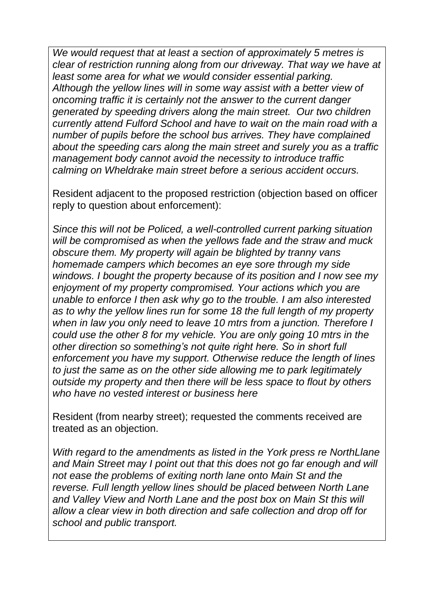*We would request that at least a section of approximately 5 metres is clear of restriction running along from our driveway. That way we have at least some area for what we would consider essential parking. Although the yellow lines will in some way assist with a better view of oncoming traffic it is certainly not the answer to the current danger generated by speeding drivers along the main street. Our two children currently attend Fulford School and have to wait on the main road with a number of pupils before the school bus arrives. They have complained about the speeding cars along the main street and surely you as a traffic management body cannot avoid the necessity to introduce traffic calming on Wheldrake main street before a serious accident occurs.*

Resident adjacent to the proposed restriction (objection based on officer reply to question about enforcement):

*Since this will not be Policed, a well-controlled current parking situation will be compromised as when the yellows fade and the straw and muck obscure them. My property will again be blighted by tranny vans homemade campers which becomes an eye sore through my side windows. I bought the property because of its position and I now see my enjoyment of my property compromised. Your actions which you are unable to enforce I then ask why go to the trouble. I am also interested as to why the yellow lines run for some 18 the full length of my property when in law you only need to leave 10 mtrs from a junction. Therefore I could use the other 8 for my vehicle. You are only going 10 mtrs in the other direction so something's not quite right here. So in short full enforcement you have my support. Otherwise reduce the length of lines to just the same as on the other side allowing me to park legitimately outside my property and then there will be less space to flout by others who have no vested interest or business here*

Resident (from nearby street); requested the comments received are treated as an objection.

*With regard to the amendments as listed in the York press re NorthLlane and Main Street may I point out that this does not go far enough and will not ease the problems of exiting north lane onto Main St and the reverse. Full length yellow lines should be placed between North Lane and Valley View and North Lane and the post box on Main St this will allow a clear view in both direction and safe collection and drop off for school and public transport.*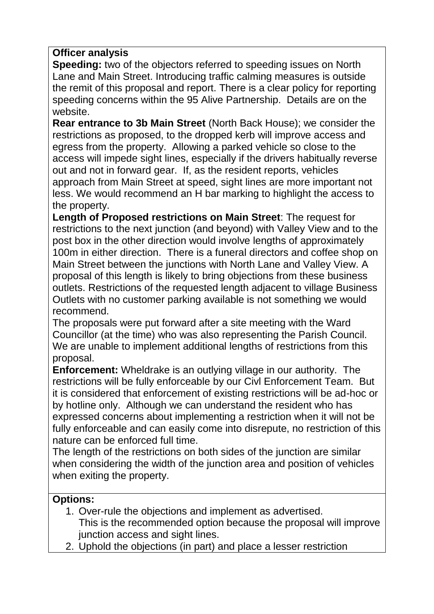#### **Officer analysis**

**Speeding:** two of the objectors referred to speeding issues on North Lane and Main Street. Introducing traffic calming measures is outside the remit of this proposal and report. There is a clear policy for reporting speeding concerns within the 95 Alive Partnership. Details are on the website.

**Rear entrance to 3b Main Street** (North Back House); we consider the restrictions as proposed, to the dropped kerb will improve access and egress from the property. Allowing a parked vehicle so close to the access will impede sight lines, especially if the drivers habitually reverse out and not in forward gear. If, as the resident reports, vehicles approach from Main Street at speed, sight lines are more important not less. We would recommend an H bar marking to highlight the access to the property.

**Length of Proposed restrictions on Main Street**: The request for restrictions to the next junction (and beyond) with Valley View and to the post box in the other direction would involve lengths of approximately 100m in either direction. There is a funeral directors and coffee shop on Main Street between the junctions with North Lane and Valley View. A proposal of this length is likely to bring objections from these business outlets. Restrictions of the requested length adjacent to village Business Outlets with no customer parking available is not something we would recommend.

The proposals were put forward after a site meeting with the Ward Councillor (at the time) who was also representing the Parish Council. We are unable to implement additional lengths of restrictions from this proposal.

**Enforcement:** Wheldrake is an outlying village in our authority. The restrictions will be fully enforceable by our Civl Enforcement Team. But it is considered that enforcement of existing restrictions will be ad-hoc or by hotline only. Although we can understand the resident who has expressed concerns about implementing a restriction when it will not be fully enforceable and can easily come into disrepute, no restriction of this nature can be enforced full time.

The length of the restrictions on both sides of the junction are similar when considering the width of the junction area and position of vehicles when exiting the property.

#### **Options:**

- 1. Over-rule the objections and implement as advertised. This is the recommended option because the proposal will improve junction access and sight lines.
- 2. Uphold the objections (in part) and place a lesser restriction